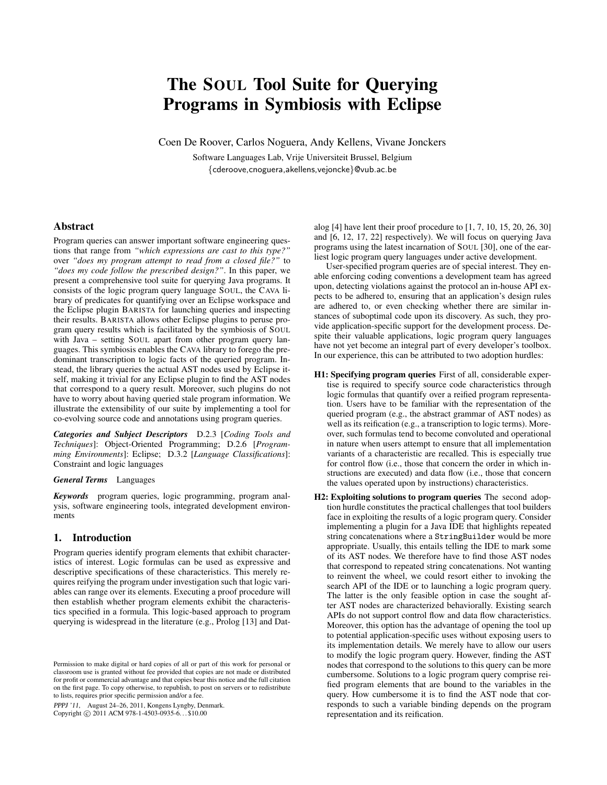# The SOUL Tool Suite for Querying Programs in Symbiosis with Eclipse

Coen De Roover, Carlos Noguera, Andy Kellens, Vivane Jonckers

Software Languages Lab, Vrije Universiteit Brussel, Belgium {cderoove,cnoguera,akellens,vejoncke}@vub.ac.be

# Abstract

Program queries can answer important software engineering questions that range from *"which expressions are cast to this type?"* over *"does my program attempt to read from a closed file?"* to *"does my code follow the prescribed design?"*. In this paper, we present a comprehensive tool suite for querying Java programs. It consists of the logic program query language SOUL, the CAVA library of predicates for quantifying over an Eclipse workspace and the Eclipse plugin BARISTA for launching queries and inspecting their results. BARISTA allows other Eclipse plugins to peruse program query results which is facilitated by the symbiosis of SOUL with Java – setting SOUL apart from other program query languages. This symbiosis enables the CAVA library to forego the predominant transcription to logic facts of the queried program. Instead, the library queries the actual AST nodes used by Eclipse itself, making it trivial for any Eclipse plugin to find the AST nodes that correspond to a query result. Moreover, such plugins do not have to worry about having queried stale program information. We illustrate the extensibility of our suite by implementing a tool for co-evolving source code and annotations using program queries.

*Categories and Subject Descriptors* D.2.3 [*Coding Tools and Techniques*]: Object-Oriented Programming; D.2.6 [*Programming Environments*]: Eclipse; D.3.2 [*Language Classifications*]: Constraint and logic languages

#### *General Terms* Languages

*Keywords* program queries, logic programming, program analysis, software engineering tools, integrated development environments

## 1. Introduction

Program queries identify program elements that exhibit characteristics of interest. Logic formulas can be used as expressive and descriptive specifications of these characteristics. This merely requires reifying the program under investigation such that logic variables can range over its elements. Executing a proof procedure will then establish whether program elements exhibit the characteristics specified in a formula. This logic-based approach to program querying is widespread in the literature (e.g., Prolog [13] and Dat-

PPPJ '11, August 24–26, 2011, Kongens Lyngby, Denmark. Copyright © 2011 ACM 978-1-4503-0935-6... \$10.00

alog  $[4]$  have lent their proof procedure to  $[1, 7, 10, 15, 20, 26, 30]$ and [6, 12, 17, 22] respectively). We will focus on querying Java programs using the latest incarnation of SOUL [30], one of the earliest logic program query languages under active development.

User-specified program queries are of special interest. They enable enforcing coding conventions a development team has agreed upon, detecting violations against the protocol an in-house API expects to be adhered to, ensuring that an application's design rules are adhered to, or even checking whether there are similar instances of suboptimal code upon its discovery. As such, they provide application-specific support for the development process. Despite their valuable applications, logic program query languages have not yet become an integral part of every developer's toolbox. In our experience, this can be attributed to two adoption hurdles:

- H1: Specifying program queries First of all, considerable expertise is required to specify source code characteristics through logic formulas that quantify over a reified program representation. Users have to be familiar with the representation of the queried program (e.g., the abstract grammar of AST nodes) as well as its reification (e.g., a transcription to logic terms). Moreover, such formulas tend to become convoluted and operational in nature when users attempt to ensure that all implementation variants of a characteristic are recalled. This is especially true for control flow (i.e., those that concern the order in which instructions are executed) and data flow (i.e., those that concern the values operated upon by instructions) characteristics.
- H2: Exploiting solutions to program queries The second adoption hurdle constitutes the practical challenges that tool builders face in exploiting the results of a logic program query. Consider implementing a plugin for a Java IDE that highlights repeated string concatenations where a StringBuilder would be more appropriate. Usually, this entails telling the IDE to mark some of its AST nodes. We therefore have to find those AST nodes that correspond to repeated string concatenations. Not wanting to reinvent the wheel, we could resort either to invoking the search API of the IDE or to launching a logic program query. The latter is the only feasible option in case the sought after AST nodes are characterized behaviorally. Existing search APIs do not support control flow and data flow characteristics. Moreover, this option has the advantage of opening the tool up to potential application-specific uses without exposing users to its implementation details. We merely have to allow our users to modify the logic program query. However, finding the AST nodes that correspond to the solutions to this query can be more cumbersome. Solutions to a logic program query comprise reified program elements that are bound to the variables in the query. How cumbersome it is to find the AST node that corresponds to such a variable binding depends on the program representation and its reification.

Permission to make digital or hard copies of all or part of this work for personal or classroom use is granted without fee provided that copies are not made or distributed for profit or commercial advantage and that copies bear this notice and the full citation on the first page. To copy otherwise, to republish, to post on servers or to redistribute to lists, requires prior specific permission and/or a fee.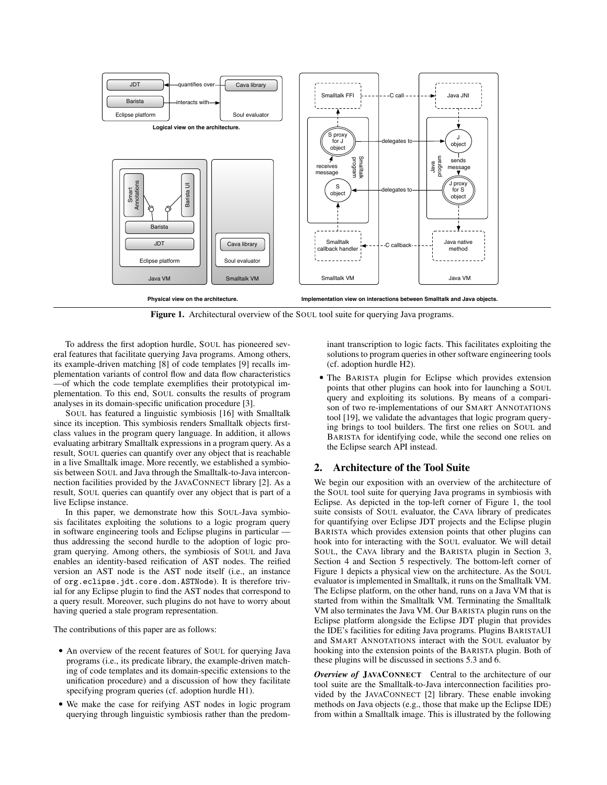

Figure 1. Architectural overview of the SOUL tool suite for querying Java programs.

To address the first adoption hurdle, SOUL has pioneered several features that facilitate querying Java programs. Among others, its example-driven matching [8] of code templates [9] recalls implementation variants of control flow and data flow characteristics —of which the code template exemplifies their prototypical implementation. To this end, SOUL consults the results of program analyses in its domain-specific unification procedure [3].

SOUL has featured a linguistic symbiosis [16] with Smalltalk since its inception. This symbiosis renders Smalltalk objects firstclass values in the program query language. In addition, it allows evaluating arbitrary Smalltalk expressions in a program query. As a result, SOUL queries can quantify over any object that is reachable in a live Smalltalk image. More recently, we established a symbiosis between SOUL and Java through the Smalltalk-to-Java interconnection facilities provided by the JAVACONNECT library [2]. As a result, SOUL queries can quantify over any object that is part of a live Eclipse instance.

In this paper, we demonstrate how this SOUL-Java symbiosis facilitates exploiting the solutions to a logic program query in software engineering tools and Eclipse plugins in particular thus addressing the second hurdle to the adoption of logic program querying. Among others, the symbiosis of SOUL and Java enables an identity-based reification of AST nodes. The reified version an AST node is the AST node itself (i.e., an instance of org.eclipse.jdt.core.dom.ASTNode). It is therefore trivial for any Eclipse plugin to find the AST nodes that correspond to a query result. Moreover, such plugins do not have to worry about having queried a stale program representation.

The contributions of this paper are as follows:

- An overview of the recent features of SOUL for querying Java programs (i.e., its predicate library, the example-driven matching of code templates and its domain-specific extensions to the unification procedure) and a discussion of how they facilitate specifying program queries (cf. adoption hurdle H1).
- We make the case for reifying AST nodes in logic program querying through linguistic symbiosis rather than the predom-

inant transcription to logic facts. This facilitates exploiting the solutions to program queries in other software engineering tools (cf. adoption hurdle H2).

• The BARISTA plugin for Eclipse which provides extension points that other plugins can hook into for launching a SOUL query and exploiting its solutions. By means of a comparison of two re-implementations of our SMART ANNOTATIONS tool [19], we validate the advantages that logic program querying brings to tool builders. The first one relies on SOUL and BARISTA for identifying code, while the second one relies on the Eclipse search API instead.

# 2. Architecture of the Tool Suite

We begin our exposition with an overview of the architecture of the SOUL tool suite for querying Java programs in symbiosis with Eclipse. As depicted in the top-left corner of Figure 1, the tool suite consists of SOUL evaluator, the CAVA library of predicates for quantifying over Eclipse JDT projects and the Eclipse plugin BARISTA which provides extension points that other plugins can hook into for interacting with the SOUL evaluator. We will detail SOUL, the CAVA library and the BARISTA plugin in Section 3, Section 4 and Section 5 respectively. The bottom-left corner of Figure 1 depicts a physical view on the architecture. As the SOUL evaluator is implemented in Smalltalk, it runs on the Smalltalk VM. The Eclipse platform, on the other hand, runs on a Java VM that is started from within the Smalltalk VM. Terminating the Smalltalk VM also terminates the Java VM. Our BARISTA plugin runs on the Eclipse platform alongside the Eclipse JDT plugin that provides the IDE's facilities for editing Java programs. Plugins BARISTAUI and SMART ANNOTATIONS interact with the SOUL evaluator by hooking into the extension points of the BARISTA plugin. Both of these plugins will be discussed in sections 5.3 and 6.

*Overview of* JAVACONNECT Central to the architecture of our tool suite are the Smalltalk-to-Java interconnection facilities provided by the JAVACONNECT [2] library. These enable invoking methods on Java objects (e.g., those that make up the Eclipse IDE) from within a Smalltalk image. This is illustrated by the following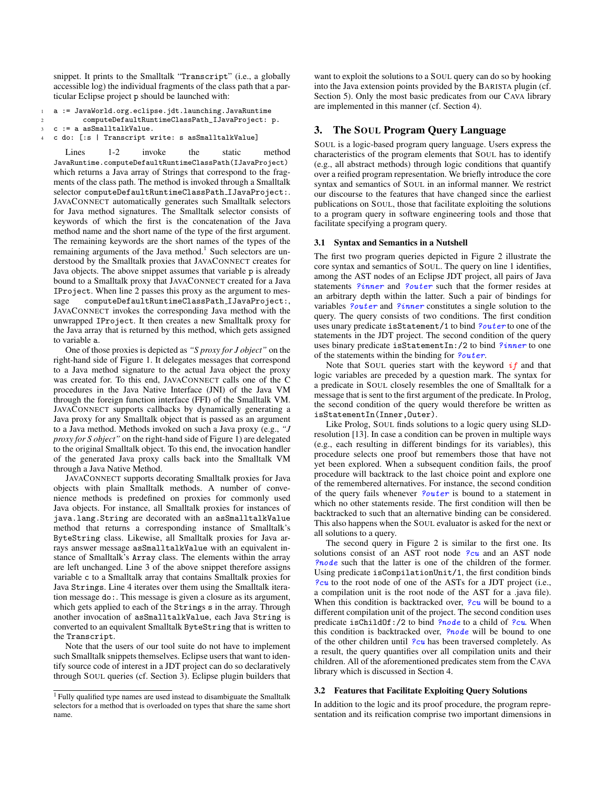snippet. It prints to the Smalltalk "Transcript" (i.e., a globally accessible log) the individual fragments of the class path that a particular Eclipse project p should be launched with:

```
1 a := JavaWorld.org.eclipse.jdt.launching.JavaRuntime
```

```
2 computeDefaultRuntimeClassPath_IJavaProject: p.
3 c := a asSmalltalkValue.
```

```
4 c do: [:s | Transcript write: s asSmalltalkValue]
```
Lines 1-2 invoke the static method JavaRuntime.computeDefaultRuntimeClassPath(IJavaProject) which returns a Java array of Strings that correspond to the fragments of the class path. The method is invoked through a Smalltalk selector computeDefaultRuntimeClassPath IJavaProject:. JAVACONNECT automatically generates such Smalltalk selectors for Java method signatures. The Smalltalk selector consists of keywords of which the first is the concatenation of the Java method name and the short name of the type of the first argument. The remaining keywords are the short names of the types of the remaining arguments of the Java method.<sup>1</sup> Such selectors are understood by the Smalltalk proxies that JAVACONNECT creates for Java objects. The above snippet assumes that variable p is already bound to a Smalltalk proxy that JAVACONNECT created for a Java IProject. When line 2 passes this proxy as the argument to message computeDefaultRuntimeClassPath\_IJavaProject:, JAVACONNECT invokes the corresponding Java method with the unwrapped IProject. It then creates a new Smalltalk proxy for the Java array that is returned by this method, which gets assigned to variable a.

One of those proxies is depicted as *"S proxy for J object"* on the right-hand side of Figure 1. It delegates messages that correspond to a Java method signature to the actual Java object the proxy was created for. To this end, JAVACONNECT calls one of the C procedures in the Java Native Interface (JNI) of the Java VM through the foreign function interface (FFI) of the Smalltalk VM. JAVACONNECT supports callbacks by dynamically generating a Java proxy for any Smalltalk object that is passed as an argument to a Java method. Methods invoked on such a Java proxy (e.g., *"J proxy for S object"* on the right-hand side of Figure 1) are delegated to the original Smalltalk object. To this end, the invocation handler of the generated Java proxy calls back into the Smalltalk VM through a Java Native Method.

JAVACONNECT supports decorating Smalltalk proxies for Java objects with plain Smalltalk methods. A number of convenience methods is predefined on proxies for commonly used Java objects. For instance, all Smalltalk proxies for instances of java.lang.String are decorated with an asSmalltalkValue method that returns a corresponding instance of Smalltalk's ByteString class. Likewise, all Smalltalk proxies for Java arrays answer message asSmalltalkValue with an equivalent instance of Smalltalk's Array class. The elements within the array are left unchanged. Line 3 of the above snippet therefore assigns variable c to a Smalltalk array that contains Smalltalk proxies for Java Strings. Line 4 iterates over them using the Smalltalk iteration message do:. This message is given a closure as its argument, which gets applied to each of the Strings s in the array. Through another invocation of asSmalltalkValue, each Java String is converted to an equivalent Smalltalk ByteString that is written to the Transcript.

Note that the users of our tool suite do not have to implement such Smalltalk snippets themselves. Eclipse users that want to identify source code of interest in a JDT project can do so declaratively through SOUL queries (cf. Section 3). Eclipse plugin builders that

want to exploit the solutions to a SOUL query can do so by hooking into the Java extension points provided by the BARISTA plugin (cf. Section 5). Only the most basic predicates from our CAVA library are implemented in this manner (cf. Section 4).

# 3. The SOUL Program Query Language

SOUL is a logic-based program query language. Users express the characteristics of the program elements that SOUL has to identify (e.g., all abstract methods) through logic conditions that quantify over a reified program representation. We briefly introduce the core syntax and semantics of SOUL in an informal manner. We restrict our discourse to the features that have changed since the earliest publications on SOUL, those that facilitate exploiting the solutions to a program query in software engineering tools and those that facilitate specifying a program query.

## 3.1 Syntax and Semantics in a Nutshell

The first two program queries depicted in Figure 2 illustrate the core syntax and semantics of SOUL. The query on line 1 identifies, among the AST nodes of an Eclipse JDT project, all pairs of Java statements ?inner and ?outer such that the former resides at an arbitrary depth within the latter. Such a pair of bindings for variables ?outer and ?inner constitutes a single solution to the query. The query consists of two conditions. The first condition uses unary predicate isStatement/1 to bind ?outer to one of the statements in the JDT project. The second condition of the query uses binary predicate isStatementIn:/2 to bind ?*inner* to one of the statements within the binding for *?outer*.

Note that SOUL queries start with the keyword  $if$  and that logic variables are preceded by a question mark. The syntax for a predicate in SOUL closely resembles the one of Smalltalk for a message that is sent to the first argument of the predicate. In Prolog, the second condition of the query would therefore be written as isStatementIn(Inner,Outer).

Like Prolog, SOUL finds solutions to a logic query using SLDresolution [13]. In case a condition can be proven in multiple ways (e.g., each resulting in different bindings for its variables), this procedure selects one proof but remembers those that have not yet been explored. When a subsequent condition fails, the proof procedure will backtrack to the last choice point and explore one of the remembered alternatives. For instance, the second condition of the query fails whenever *?outer* is bound to a statement in which no other statements reside. The first condition will then be backtracked to such that an alternative binding can be considered. This also happens when the SOUL evaluator is asked for the next or all solutions to a query.

The second query in Figure 2 is similar to the first one. Its solutions consist of an AST root node  $?cu$  and an AST node ?node such that the latter is one of the children of the former. Using predicate isCompilationUnit/1, the first condition binds ?cu to the root node of one of the ASTs for a JDT project (i.e., a compilation unit is the root node of the AST for a .java file). When this condition is backtracked over,  $2cu$  will be bound to a different compilation unit of the project. The second condition uses predicate isChildOf:/2 to bind ?node to a child of ?cu. When this condition is backtracked over, *?node* will be bound to one of the other children until  $\mathcal{P}cu$  has been traversed completely. As a result, the query quantifies over all compilation units and their children. All of the aforementioned predicates stem from the CAVA library which is discussed in Section 4.

# 3.2 Features that Facilitate Exploiting Query Solutions

In addition to the logic and its proof procedure, the program representation and its reification comprise two important dimensions in

<sup>&</sup>lt;sup>1</sup> Fully qualified type names are used instead to disambiguate the Smalltalk selectors for a method that is overloaded on types that share the same short name.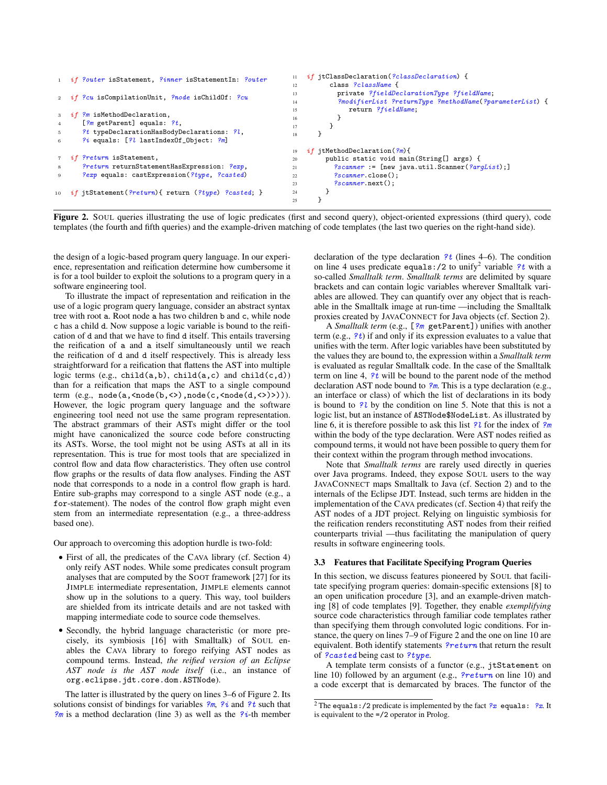```
1 if ?outer isStatement, ?inner isStatementIn: ?outer
2 if ?cu isCompilationUnit, ?node isChildOf: ?cu
\frac{3}{3} isMethodDeclaration,
4 [?m getParent] equals: ?t,
5 ?t typeDeclarationHasBodyDeclarations: ?l,
6 ?i equals: [?l lastIndexOf_Object: ?m]
7 if ?return isStatement.
      8 ?return returnStatementHasExpression: ?exp,
9 ?exp equals: castExpression(?type, ?casted)
10 if jtStatement (?return) { return (?type) ?casted; }
                                                         11 if jtClassDeclaration(?classDeclaration) {
                                                         12 class ?className {
                                                         13 private ?fieldDeclarationType ?fieldName;
                                                         14 ?modifierList ?returnType ?methodName(?parameterList) {
                                                         15 return ?fieldName;
                                                         16 }
                                                         17 }
                                                         18 }
                                                         19 if jtMethodDeclaration(?m){
                                                         20 public static void main(String[] args) {<br>
\%canner := [new java.util.Scanner(\%are
                                                         21 ? scanner := [new java.util.Scanner(?arglist)];22 ?scanner.close();
                                                         23 ?scanner.next();
                                                         24 }
                                                         25 }
                                                                                                           1 if ?outer isStatement, ?inner isStatementIn: ?outer
```
 $11$  if  $\sigma$  is the state of  $\sigma$  is the state of  $\sigma$  is the state of  $\sigma$ **Figure 2.** SOUL queries illustrating the use of logic predicates (first and second query), object-oriented expressions (third query), code templates (the fourth and fifth queries) and the example-driven matching of code templates (the last two queries on the right-hand side).

the design of a logic-based program query language. In our experi- $\frac{1}{2}$ ence, representation and reification determine how cumbersome it software engineering tool. is for a tool builder to exploit the solutions to a program query in a

To illustrate the impact of representation and reification in the use of a logic program query language, consider an abstract syntax tree with root a. Root node a has two children b and c, while node c has a child d. Now suppose a logic variable is bound to the reifi-<sup>24</sup> } cation of d and that we have to find d itself. This entails traversing straightforward for a reification that flattens the AST into multiple is ev Einite sub-graphs may correspond to a single AST houe (e.g., a for-statement). The nodes of the control flow graph might even  $\frac{1}{2}$   $\frac{1}{2}$ term (e.g., node(a,<node(b,<>),node(c,<node(d,<>)))). representation. This is true for most tools that are specialized in the control flow and data flow characteristics. They often use control the reification of a and a itself simultaneously until we reach the reification of d and d itself respectively. This is already less logic terms (e.g., child(a,b), child(a,c) and child(c,d)) than for a reification that maps the AST to a single compound However, the logic program query language and the software engineering tool need not use the same program representation. The abstract grammars of their ASTs might differ or the tool might have canonicalized the source code before constructing its ASTs. Worse, the tool might not be using ASTs at all in its flow graphs or the results of data flow analyses. Finding the AST node that corresponds to a node in a control flow graph is hard. Entire sub-graphs may correspond to a single AST node (e.g., a stem from an intermediate representation (e.g., a three-address based one).

Our approach to overcoming this adoption hurdle is two-fold:

- First of all, the predicates of the CAVA library (cf. Section 4) only reify AST nodes. While some predicates consult program analyses that are computed by the SOOT framework [27] for its JIMPLE intermediate representation, JIMPLE elements cannot show up in the solutions to a query. This way, tool builders are shielded from its intricate details and are not tasked with mapping intermediate code to source code themselves.
- Secondly, the hybrid language characteristic (or more precisely, its symbiosis [16] with Smalltalk) of SOUL enables the CAVA library to forego reifying AST nodes as compound terms. Instead, *the reified version of an Eclipse AST node is the AST node itself* (i.e., an instance of org.eclipse.jdt.core.dom.ASTNode).

The latter is illustrated by the query on lines 3–6 of Figure 2. Its solutions consist of bindings for variables  $\frac{2m}{n}$ ,  $\frac{2i}{n}$  and  $\frac{2t}{n}$  such that  $\frac{2m}{n}$  is a method declaration (line 3) as well as the  $\frac{2i}{n}$ -th member

 $\overline{\mathbf{a}}$  is  $\overline{\mathbf{a}}$  if  $\overline{\mathbf{a}}$  if  $\overline{\mathbf{a}}$  if  $\overline{\mathbf{a}}$  if  $\overline{\mathbf{a}}$  if  $\overline{\mathbf{a}}$  if  $\overline{\mathbf{a}}$  if  $\overline{\mathbf{a}}$  if  $\overline{\mathbf{a}}$  if  $\overline{\mathbf{a}}$  if  $\overline{\mathbf{a}}$  if  $\overline{\mathbf{a}}$  if  $\overline{\mathbf{a}}$  if  $\overline{\mathbf{a}}$ 1- declaration of the type of it on line 4 uses predicate equals:/2 to unify<sup>2</sup> variable  $?t$  with a a so-called *Smalltalk term. Smalltalk terms* are delimited by square  $\frac{1}{2}$  if  $\frac{1}{2}$  if  $\frac{1}{2}$  if  $\frac{1}{2}$  $\alpha$  and  $\alpha$  and  $\alpha$  and  $\alpha$  is  $\alpha$  is  $\alpha$  is  $\alpha$  if  $\alpha$  is  $\alpha$  is  $\alpha$  is  $\alpha$  is  $\alpha$  is  $\alpha$  is  $\alpha$  is  $\alpha$  is  $\alpha$  is  $\alpha$  is  $\alpha$  is  $\alpha$  is  $\alpha$  is  $\alpha$  is  $\alpha$  is  $\alpha$  is  $\alpha$  is  $\alpha$  is  $\alpha$  is  $\alpha$  is  $\$ ax able in the Smalltalk image at run-time —including the Smalltalk  $\frac{1}{2}$  return  $\frac{1}{2}$  return  $\frac{1}{2}$  return  $\frac{1}{2}$ declaration of the type declaration  $?t$  (lines 4–6). The condition  $\frac{1}{\sqrt{1-\epsilon^2}}$ ables are allowed. They can quantify over any object that is reachproxies created by JAVACONNECT for Java objects (cf. Section 2). brackets and can contain logic variables wherever Smalltalk vari-

 $2^{n}$  is  $2^{n}$  is  $2^{n}$  is  $2^{n}$  is  $2^{n}$  is  $2^{n}$  is  $2^{n}$  is  $2^{n}$  is  $2^{n}$  is  $2^{n}$  is  $2^{n}$  is  $2^{n}$  is  $2^{n}$  is  $2^{n}$  is  $2^{n}$  is  $2^{n}$  is  $2^{n}$  is  $2^{n}$  is  $2^{n}$  is  $2^{n}$  is  $2^{n}$  is  $2^{n}$  is

ifi- A *Smalltalk term* (e.g., [?m getParent]) unifies with another  $\frac{1}{1}$  if  $\frac{1}{1}$  if  $\frac{1}{1}$  if  $\frac{1}{1}$  if  $\frac{1}{1}$  if  $\frac{1}{1}$  if  $\frac{1}{1}$  if  $\frac{1}{1}$  if  $\frac{1}{1}$  if  $\frac{1}{1}$  if  $\frac{1}{1}$  if  $\frac{1}{1}$  if  $\frac{1}{1}$  if  $\frac{1}{1}$  if  $\frac{1}{1}$  if  $\frac{1}{1}$  if  $\frac{1}{1}$  if  $\epsilon$ <sub>1</sub> can  $\epsilon$ <sup>1</sup> can  $\epsilon$ <sup>1</sup> can  $\epsilon$ <sup>2</sup> can  $\epsilon$ <sup>2</sup> can  $\epsilon$ <sup>2</sup> can  $\epsilon$ <sup>2</sup> can  $\epsilon$ <sup>2</sup> can  $\epsilon$ <sup>2</sup> can  $\epsilon$ <sup>2</sup> can  $\epsilon$ <sup>2</sup> can  $\epsilon$ <sup>2</sup> can  $\epsilon$ <sup>2</sup> can  $\epsilon$ <sup>2</sup> can  $\epsilon$ <sup>2</sup> can  $\epsilon$ <sup>2</sup> can  $\epsilon$ <sup>2</sup> can  $\epsilon$ <sup>2</sup> can  $\epsilon$ <sup></sup> the values they are bound to, the expression within a *Smalltalk term* ple is evaluated as regular Smalltalk code. In the case of the Smalltalk (1) term on line 4,  $\frac{?t}{t}$  will be bound to the parent node of the method nd declaration AST node bound to  $\frac{2m}{n}$ . This is a type declaration (e.g., on. logic list, but an instance of ASTNode\$NodeList. As illustrated by bol line 6, it is therefore possible to ask this list ?*l* for the index of  $\frac{2}{m}$ ing within the body of the type declaration. Were AST nodes reified as  $\frac{12}{2}$  within the body of the set extend the term of Figure 2.15 of Figure 2.15 of Figure 2.15 of Figure 2.15 of Figure 2.15 of Figure 2.15 of Figure 2.15 of Figure 2.15 of Figure 2.15 of Figure 2.15 of Pigure 2.15 of Pigure 2.15 of Pigure 2.15 of Pigure 2 term (e.g.,  $2t$ ) if and only if its expression evaluates to a value that  $u_{\text{min}}(x, y, t, y)$  is an any in the expression evaluated to a value that unifies with the term. After logic variables have been substituted by ). an interface or class) of which the list of declarations in its body are is bound to ?l by the condition on line 5. Note that this is not a In real compound terms, it would not have been possible to in their context within the program through method invocations. them for  $m<sub>S</sub>$ , the same variable express a  $\frac{1}{2}$ 

and the extra section of the Eclipse JDT. Instead, such terms are hidden in the rol Note that *Smalltalk terms* are rarely used directly in queries  $\sum_{n=1}^{\infty}$ ST over Java programs. Indeed, they expose SOUL users to the way rd. JAVACONNECT maps Smalltalk to Java (cf. Section 2) and to the ren implementation of the CAVA predicates (cf. Section 4) that reify the method boundaries of a results when results whole-protected and the state of a result of the SNT nodes of a JDT project. Relying on linguistic symbiosis for counterparts trivial —thus facilitating the manipulation of query results in software engineering tools.  $\frac{1}{2}$  reify the  $\frac{1}{2}$  the binding for each occurrence of  $\frac{1}{2}$  $51$  query the reification renders reconstituting AST nodes from their reified

#### 3.3 Features that Facilitate Specifying Program Queries

source code characteristics through familiar code templates rather In this section, we discuss features pioneered by SOUL that facilitate specifying program queries: domain-specific extensions [8] to an open unification procedure [3], and an example-driven matching [8] of code templates [9]. Together, they enable *exemplifying* than specifying them through convoluted logic conditions. For instance, the query on lines 7–9 of Figure 2 and the one on line 10 are equivalent. Both identify statements *?return* that return the result of ?casted being cast to ?type.

A template term consists of a functor (e.g., jtStatement on line 10) followed by an argument (e.g., *?return* on line 10) and a code excerpt that is demarcated by braces. The functor of the

<sup>&</sup>lt;sup>2</sup> The equals:/2 predicate is implemented by the fact  $\sqrt[2]{x}$  equals:  $\sqrt[2]{x}$ . It is equivalent to the =/2 operator in Prolog.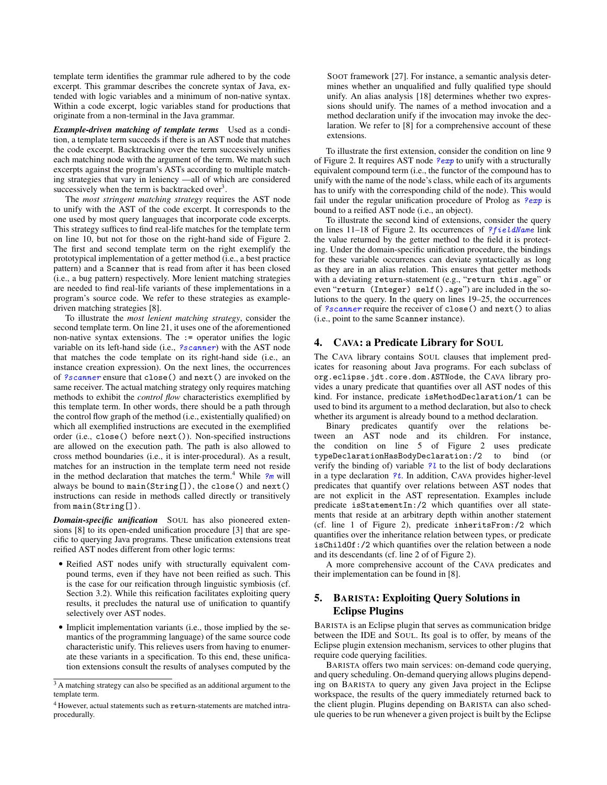template term identifies the grammar rule adhered to by the code excerpt. This grammar describes the concrete syntax of Java, extended with logic variables and a minimum of non-native syntax. Within a code excerpt, logic variables stand for productions that originate from a non-terminal in the Java grammar.

*Example-driven matching of template terms* Used as a condition, a template term succeeds if there is an AST node that matches the code excerpt. Backtracking over the term successively unifies each matching node with the argument of the term. We match such excerpts against the program's ASTs according to multiple matching strategies that vary in leniency —all of which are considered successively when the term is backtracked over<sup>3</sup>.

The *most stringent matching strategy* requires the AST node to unify with the AST of the code excerpt. It corresponds to the one used by most query languages that incorporate code excerpts. This strategy suffices to find real-life matches for the template term on line 10, but not for those on the right-hand side of Figure 2. The first and second template term on the right exemplify the prototypical implementation of a getter method (i.e., a best practice pattern) and a Scanner that is read from after it has been closed (i.e., a bug pattern) respectively. More lenient matching strategies are needed to find real-life variants of these implementations in a program's source code. We refer to these strategies as exampledriven matching strategies [8].

To illustrate the *most lenient matching strategy*, consider the second template term. On line 21, it uses one of the aforementioned non-native syntax extensions. The := operator unifies the logic variable on its left-hand side (i.e., ?scanner) with the AST node that matches the code template on its right-hand side (i.e., an instance creation expression). On the next lines, the occurrences of ?scanner ensure that close() and next() are invoked on the same receiver. The actual matching strategy only requires matching methods to exhibit the *control flow* characteristics exemplified by this template term. In other words, there should be a path through the control flow graph of the method (i.e., existentially qualified) on which all exemplified instructions are executed in the exemplified order (i.e., close() before next()). Non-specified instructions are allowed on the execution path. The path is also allowed to cross method boundaries (i.e., it is inter-procedural). As a result, matches for an instruction in the template term need not reside in the method declaration that matches the term.<sup>4</sup> While  $\frac{2m}{m}$  will always be bound to main(String[]), the close() and next() instructions can reside in methods called directly or transitively from main(String[]).

*Domain-specific unification* SOUL has also pioneered extensions [8] to its open-ended unification procedure [3] that are specific to querying Java programs. These unification extensions treat reified AST nodes different from other logic terms:

- Reified AST nodes unify with structurally equivalent compound terms, even if they have not been reified as such. This is the case for our reification through linguistic symbiosis (cf. Section 3.2). While this reification facilitates exploiting query results, it precludes the natural use of unification to quantify selectively over AST nodes.
- Implicit implementation variants (i.e., those implied by the semantics of the programming language) of the same source code characteristic unify. This relieves users from having to enumerate these variants in a specification. To this end, these unification extensions consult the results of analyses computed by the

SOOT framework [27]. For instance, a semantic analysis determines whether an unqualified and fully qualified type should unify. An alias analysis [18] determines whether two expressions should unify. The names of a method invocation and a method declaration unify if the invocation may invoke the declaration. We refer to [8] for a comprehensive account of these extensions.

To illustrate the first extension, consider the condition on line 9 of Figure 2. It requires AST node  $\ell^2$ exp to unify with a structurally equivalent compound term (i.e., the functor of the compound has to unify with the name of the node's class, while each of its arguments has to unify with the corresponding child of the node). This would fail under the regular unification procedure of Prolog as  $\sqrt{e_{exp}}$  is bound to a reified AST node (i.e., an object).

To illustrate the second kind of extensions, consider the query on lines  $11-18$  of Figure 2. Its occurrences of ?*fieldName* link the value returned by the getter method to the field it is protecting. Under the domain-specific unification procedure, the bindings for these variable occurrences can deviate syntactically as long as they are in an alias relation. This ensures that getter methods with a deviating return-statement (e.g., "return this.age" or even "return (Integer) self().age") are included in the solutions to the query. In the query on lines 19–25, the occurrences of ?scanner require the receiver of close() and next() to alias (i.e., point to the same Scanner instance).

# 4. CAVA: a Predicate Library for SOUL

The CAVA library contains SOUL clauses that implement predicates for reasoning about Java programs. For each subclass of org.eclipse.jdt.core.dom.ASTNode, the CAVA library provides a unary predicate that quantifies over all AST nodes of this kind. For instance, predicate isMethodDeclaration/1 can be used to bind its argument to a method declaration, but also to check whether its argument is already bound to a method declaration.

Binary predicates quantify over the relations between an AST node and its children. For instance, the condition on line 5 of Figure 2 uses predicate typeDeclarationHasBodyDeclaration:/2 to bind (or verify the binding of) variable  $\frac{2}{3}l$  to the list of body declarations in a type declaration  $?t$ . In addition, CAVA provides higher-level predicates that quantify over relations between AST nodes that are not explicit in the AST representation. Examples include predicate isStatementIn:/2 which quantifies over all statements that reside at an arbitrary depth within another statement (cf. line 1 of Figure 2), predicate inheritsFrom:/2 which quantifies over the inheritance relation between types, or predicate isChildOf:/2 which quantifies over the relation between a node and its descendants (cf. line 2 of of Figure 2).

A more comprehensive account of the CAVA predicates and their implementation can be found in [8].

# 5. BARISTA: Exploiting Query Solutions in Eclipse Plugins

BARISTA is an Eclipse plugin that serves as communication bridge between the IDE and SOUL. Its goal is to offer, by means of the Eclipse plugin extension mechanism, services to other plugins that require code querying facilities.

BARISTA offers two main services: on-demand code querying, and query scheduling. On-demand querying allows plugins depending on BARISTA to query any given Java project in the Eclipse workspace, the results of the query immediately returned back to the client plugin. Plugins depending on BARISTA can also schedule queries to be run whenever a given project is built by the Eclipse

<sup>&</sup>lt;sup>3</sup> A matching strategy can also be specified as an additional argument to the template term.

<sup>4</sup> However, actual statements such as return-statements are matched intraprocedurally.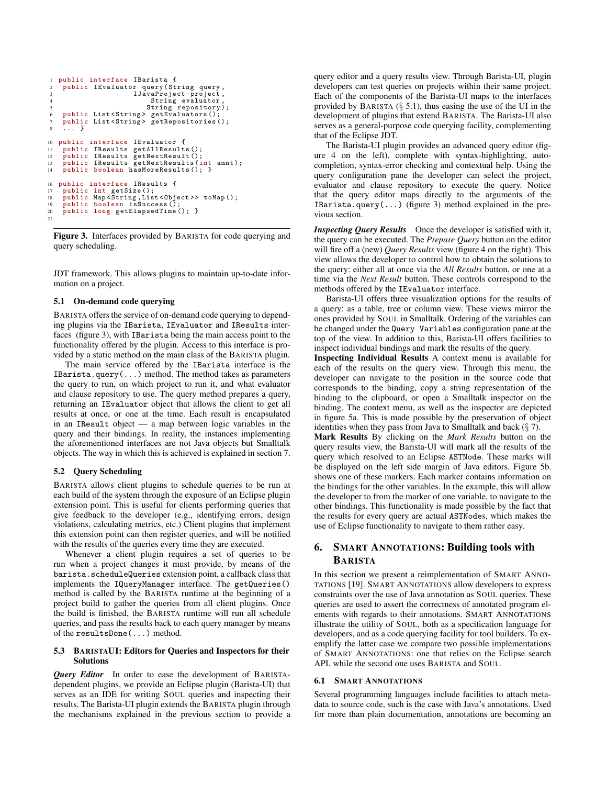```
1 public interface IBarista {
2 public IEvaluator query (String query, 3 IJavaProject project,
                                            roject project,
                                        String evaluator
 5 String repository );
6 public List < String > getEvaluators ();
7 public List < String > getRepositories ();
8 \ldots}
10 public interface IEvaluator {
11 public IResults getAllResults ();<br>12 public IResults getNextResult ();
12 public IResults getNextResult ();
13 public IResults getNextResults ( int amnt );
14 public boolean hasMoreResults (); }
16 public interface IResults {<br>17 public int getSize():
     public int getSize();
18 public Map < String , List < Object >> toMap ();
19 public boolean isSuccess ();
20 public long getElapsedTime (); }
21
```
Figure 3. Interfaces provided by BARISTA for code querying and query scheduling.

JDT framework. This allows plugins to maintain up-to-date information on a project.

#### 5.1 On-demand code querying

BARISTA offers the service of on-demand code querying to depending plugins via the IBarista, IEvaluator and IResults interfaces (figure 3), with IBarista being the main access point to the functionality offered by the plugin. Access to this interface is provided by a static method on the main class of the BARISTA plugin.

The main service offered by the IBarista interface is the IBarista.query(...) method. The method takes as parameters the query to run, on which project to run it, and what evaluator and clause repository to use. The query method prepares a query, returning an IEvaluator object that allows the client to get all results at once, or one at the time. Each result is encapsulated in an IResult object — a map between logic variables in the query and their bindings. In reality, the instances implementing the aforementioned interfaces are not Java objects but Smalltalk objects. The way in which this is achieved is explained in section 7.

#### 5.2 Query Scheduling

BARISTA allows client plugins to schedule queries to be run at each build of the system through the exposure of an Eclipse plugin extension point. This is useful for clients performing queries that give feedback to the developer (e.g., identifying errors, design violations, calculating metrics, etc.) Client plugins that implement this extension point can then register queries, and will be notified with the results of the queries every time they are executed.

Whenever a client plugin requires a set of queries to be run when a project changes it must provide, by means of the barista.scheduleQueries extension point, a callback class that implements the IQueryManager interface. The getQueries() method is called by the BARISTA runtime at the beginning of a project build to gather the queries from all client plugins. Once the build is finished, the BARISTA runtime will run all schedule queries, and pass the results back to each query manager by means of the resultsDone(...) method.

#### 5.3 BARISTAUI: Editors for Queries and Inspectors for their Solutions

*Query Editor* In order to ease the development of BARISTAdependent plugins, we provide an Eclipse plugin (Barista-UI) that serves as an IDE for writing SOUL queries and inspecting their results. The Barista-UI plugin extends the BARISTA plugin through the mechanisms explained in the previous section to provide a query editor and a query results view. Through Barista-UI, plugin developers can test queries on projects within their same project. Each of the components of the Barista-UI maps to the interfaces provided by BARISTA  $(\S 5.1)$ , thus easing the use of the UI in the development of plugins that extend BARISTA. The Barista-UI also serves as a general-purpose code querying facility, complementing that of the Eclipse JDT.

The Barista-UI plugin provides an advanced query editor (figure 4 on the left), complete with syntax-highlighting, autocompletion, syntax-error checking and contextual help. Using the query configuration pane the developer can select the project, evaluator and clause repository to execute the query. Notice that the query editor maps directly to the arguments of the IBarista.query( $\ldots$ ) (figure 3) method explained in the previous section.

*Inspecting Query Results* Once the developer is satisfied with it, the query can be executed. The *Prepare Query* button on the editor will fire off a (new) *Query Results* view (figure 4 on the right). This view allows the developer to control how to obtain the solutions to the query: either all at once via the *All Results* button, or one at a time via the *Next Result* button. These controls correspond to the methods offered by the IEvaluator interface.

Barista-UI offers three visualization options for the results of a query: as a table, tree or column view. These views mirror the ones provided by SOUL in Smalltalk. Ordering of the variables can be changed under the Query Variables configuration pane at the top of the view. In addition to this, Barista-UI offers facilities to inspect individual bindings and mark the results of the query.

Inspecting Individual Results A context menu is available for each of the results on the query view. Through this menu, the developer can navigate to the position in the source code that corresponds to the binding, copy a string representation of the binding to the clipboard, or open a Smalltalk inspector on the binding. The context menu, as well as the inspector are depicted in figure 5a. This is made possible by the preservation of object identities when they pass from Java to Smalltalk and back  $(\S 7)$ .

Mark Results By clicking on the *Mark Results* button on the query results view, the Barista-UI will mark all the results of the query which resolved to an Eclipse ASTNode. These marks will be displayed on the left side margin of Java editors. Figure 5b. shows one of these markers. Each marker contains information on the bindings for the other variables. In the example, this will allow the developer to from the marker of one variable, to navigate to the other bindings. This functionality is made possible by the fact that the results for every query are actual ASTNodes, which makes the use of Eclipse functionality to navigate to them rather easy.

# 6. SMART ANNOTATIONS: Building tools with BARISTA

In this section we present a reimplementation of SMART ANNO-TATIONS [19]. SMART ANNOTATIONS allow developers to express constraints over the use of Java annotation as SOUL queries. These queries are used to assert the correctness of annotated program elements with regards to their annotations. SMART ANNOTATIONS illustrate the utility of SOUL, both as a specification language for developers, and as a code querying facility for tool builders. To exemplify the latter case we compare two possible implementations of SMART ANNOTATIONS: one that relies on the Eclipse search API, while the second one uses BARISTA and SOUL.

## 6.1 SMART ANNOTATIONS

Several programming languages include facilities to attach metadata to source code, such is the case with Java's annotations. Used for more than plain documentation, annotations are becoming an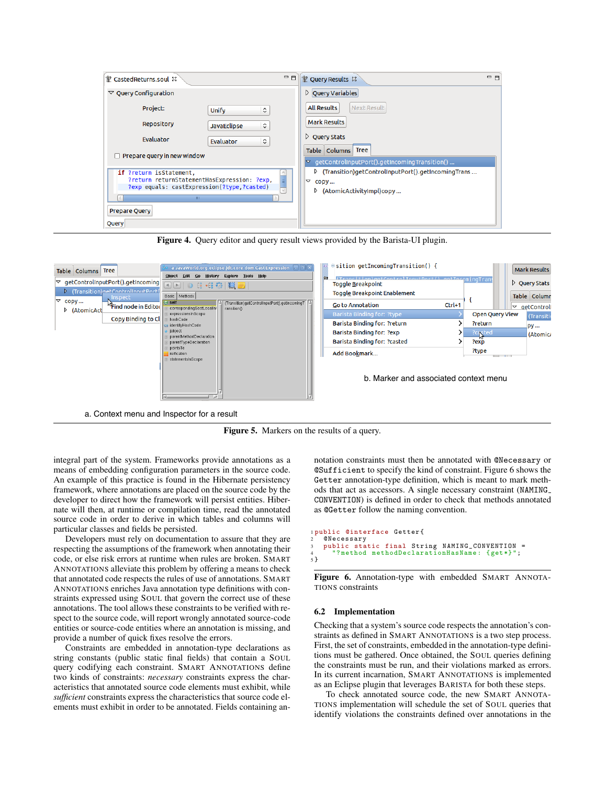| T Casted Returns.soul &                                        | $= 5$<br>$=$ $\Box$<br>P Query Results &                                            |
|----------------------------------------------------------------|-------------------------------------------------------------------------------------|
| $\triangledown$ Query Configuration                            | $\triangleright$ Query Variables                                                    |
| Project:<br>$\hat{\mathcal{L}}$<br><b>Unify</b>                | <b>All Results</b><br><b>Next Result</b>                                            |
| <b>Repository</b><br>$\hat{\mathcal{L}}$<br><b>JavaEclipse</b> | <b>Mark Results</b>                                                                 |
| <b>Evaluator</b><br>$\hat{\mathbf{v}}$<br><b>Evaluator</b>     | $\triangleright$ Query Stats                                                        |
| $\Box$ Prepare query in new window                             | Table Columns Tree<br>$\triangledown$ getControlInputPort().getIncomingTransition() |
| if ?return isStatement,                                        | D (Transition)getControlInputPort(),getIncomingTrans                                |
| ?return returnStatementHasExpression: ?exp,<br>$\equiv$        | $\blacktriangledown$ copy                                                           |
| ?exp equals: castExpression(?type,?casted)                     | $\triangleright$ (AtomicActivityImpl)copy                                           |
| <b>TH</b>                                                      |                                                                                     |
| <b>Prepare Query</b>                                           |                                                                                     |
|                                                                |                                                                                     |
| Query                                                          |                                                                                     |

Figure 4. Query editor and query result views provided by the Barista-UI plugin.



Figure 5. Markers on the results of a query.

integral part of the system. Frameworks provide annotations as a means of embedding configuration parameters in the source code. An example of this practice is found in the Hibernate persistency framework, where annotations are placed on the source code by the developer to direct how the framework will persist entities. Hibernate will then, at runtime or compilation time, read the annotated source code in order to derive in which tables and columns will particular classes and fields be persisted.

Developers must rely on documentation to assure that they are respecting the assumptions of the framework when annotating their code, or else risk errors at runtime when rules are broken. SMART ANNOTATIONS alleviate this problem by offering a means to check that annotated code respects the rules of use of annotations. SMART ANNOTATIONS enriches Java annotation type definitions with constraints expressed using SOUL that govern the correct use of these annotations. The tool allows these constraints to be verified with respect to the source code, will report wrongly annotated source-code entities or source-code entities where an annotation is missing, and provide a number of quick fixes resolve the errors.

Constraints are embedded in annotation-type declarations as string constants (public static final fields) that contain a SOUL query codifying each constraint. SMART ANNOTATIONS define two kinds of constraints: *necessary* constraints express the characteristics that annotated source code elements must exhibit, while *sufficient* constraints express the characteristics that source code elements must exhibit in order to be annotated. Fields containing annotation constraints must then be annotated with @Necessary or @Sufficient to specify the kind of constraint. Figure 6 shows the Getter annotation-type definition, which is meant to mark methods that act as accessors. A single necessary constraint (NAMING CONVENTION) is defined in order to check that methods annotated as @Getter follow the naming convention.

```
1 public @interface Getter {
2<sup>.</sup> @Necessary<br>3. public sta:
3 public static final String NAMING_CONVENTION =
4 "? method methodDeclarationHasName : { get *}";
5 }
```
Figure 6. Annotation-type with embedded SMART ANNOTA-TIONS constraints

#### 6.2 Implementation

Checking that a system's source code respects the annotation's constraints as defined in SMART ANNOTATIONS is a two step process. First, the set of constraints, embedded in the annotation-type definitions must be gathered. Once obtained, the SOUL queries defining the constraints must be run, and their violations marked as errors. In its current incarnation, SMART ANNOTATIONS is implemented as an Eclipse plugin that leverages BARISTA for both these steps.

To check annotated source code, the new SMART ANNOTA-TIONS implementation will schedule the set of SOUL queries that identify violations the constraints defined over annotations in the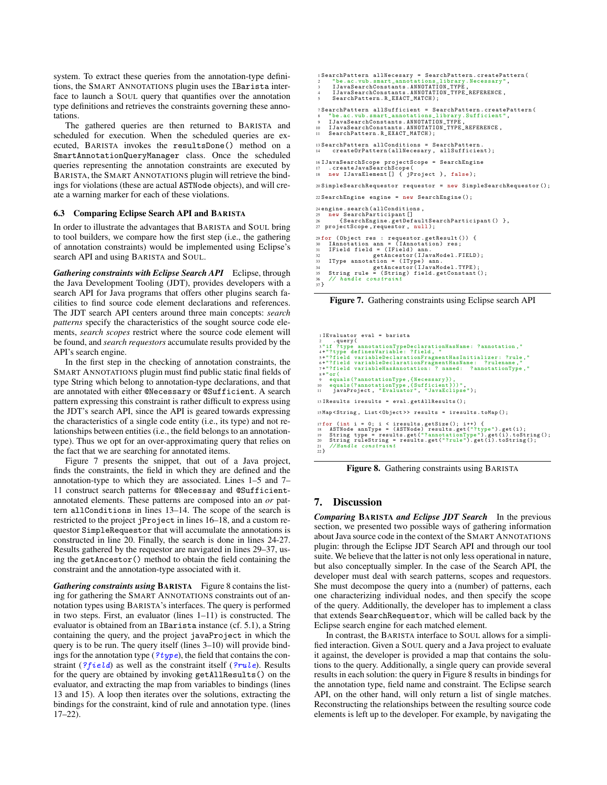system. To extract these queries from the annotation-type definitions, the SMART ANNOTATIONS plugin uses the IBarista interface to launch a SOUL query that quantifies over the annotation type definitions and retrieves the constraints governing these annotations.

The gathered queries are then returned to BARISTA and scheduled for execution. When the scheduled queries are executed, BARISTA invokes the resultsDone() method on a SmartAnnotationQueryManager class. Once the scheduled queries representing the annotation constraints are executed by BARISTA, the SMART ANNOTATIONS plugin will retrieve the bindings for violations (these are actual ASTNode objects), and will create a warning marker for each of these violations.

#### 6.3 Comparing Eclipse Search API and BARISTA

In order to illustrate the advantages that BARISTA and SOUL bring to tool builders, we compare how the first step (i.e., the gathering of annotation constraints) would be implemented using Eclipse's search API and using BARISTA and SOUL.

*Gathering constraints with Eclipse Search API* Eclipse, through the Java Development Tooling (JDT), provides developers with a search API for Java programs that offers other plugins search facilities to find source code element declarations and references. The JDT search API centers around three main concepts: *search patterns* specify the characteristics of the sought source code elements, *search scopes* restrict where the source code element will be found, and *search requestors* accumulate results provided by the API's search engine.

In the first step in the checking of annotation constraints, the SMART ANNOTATIONS plugin must find public static final fields of type String which belong to annotation-type declarations, and that are annotated with either @Necessary or @Sufficient. A search pattern expressing this constraint is rather difficult to express using the JDT's search API, since the API is geared towards expressing the characteristics of a single code entity (i.e., its type) and not relationships between entities (i.e., the field belongs to an annotationtype). Thus we opt for an over-approximating query that relies on the fact that we are searching for annotated items.

Figure 7 presents the snippet, that out of a Java project, finds the constraints, the field in which they are defined and the annotation-type to which they are associated. Lines 1–5 and 7– 11 construct search patterns for @Necessay and @Sufficientannotated elements. These patterns are composed into an *or* pattern allConditions in lines 13–14. The scope of the search is restricted to the project jProject in lines 16–18, and a custom requestor SimpleRequestor that will accumulate the annotations is constructed in line 20. Finally, the search is done in lines 24-27. Results gathered by the requestor are navigated in lines 29–37, using the getAncestor() method to obtain the field containing the constraint and the annotation-type associated with it.

*Gathering constraints using* BARISTA Figure 8 contains the listing for gathering the SMART ANNOTATIONS constraints out of annotation types using BARISTA's interfaces. The query is performed in two steps. First, an evaluator (lines 1–11) is constructed. The evaluator is obtained from an IBarista instance (cf. 5.1), a String containing the query, and the project javaProject in which the query is to be run. The query itself (lines 3–10) will provide bindings for the annotation type  $(?type)$ , the field that contains the constraint (? $field$ ) as well as the constraint itself (? $rule$ ). Results for the query are obtained by invoking getAllResults() on the evaluator, and extracting the map from variables to bindings (lines 13 and 15). A loop then iterates over the solutions, extracting the bindings for the constraint, kind of rule and annotation type. (lines 17–22).

```
1 SearchPattern allNecesary = SearchPattern.createPattern(<br>2 "be.ac. vub.smart_annotations_library.Necessary",<br>3 IJavaSearchConstants.ANNOTATION_TYPE_REFERENCE ,<br>4 IJavaSearchConstants.ANNOTATION_TYPE_REFERENCE ,
 5 SearchPattern.R_EXACT_MATCH);
 7 Search Pattern all Sufficient = Search Pattern.create Pattern (
 8 "be.ac. vub. smart_annotations_library . Sufficient",<br>9 IJavaSearchConstants.ANNOTATION_TYPE,
10 IJavaSearchConstants.ANNOTATION_TYPE_REFERENCE,<br>11 SearchPattern.R_EXACT_MATCH);
13 SearchPattern allConditions = SearchPattern.
13 Bodit dia 13 Search 2021 and 2021 and 2021 and 2021 and 2021 and 2021 and 2022 and 2021 and 2021 and 2021 a
16 I JavaSearchScope projectScope = SearchEngine
17 .createJavaSearchScope(
18 new IJavaElement[] { jProject }, false );
20 SimpleSearchRequestor requestor = new SimpleSearchRequestor();
22 SearchEngine engine = new SearchEngine();
24 engine.search(allConditions ,<br>25 new SearchParticipant[]<br>26 {SearchEngine.getDefaultSearchParticipant() },<br>27 projectScope,requestor, null);
% for (Object res : requestor.getResult()) {<br>30 IAnnotation ann = (IAnnotation Piss)<br>31 IField field = (IField) ann.<br>33 IType amotation = (IType) ann.<br>33 IType annotation = (IType) ann.<br>44 getAncestor(IJavaModel.TPPE);<br>35 
 8 "be.ac. vub . smart_annotations_library . Sufficient ", 9 IJavaSearchConstants.ANNOTATION_TYPE ,
10 IJavaSearchConstants.ANNOTATION_TYPE_REFERENCE ,
11 SearchPattern.R_EXACT_MATCH);
 20 SimpleSearchRequestor requestor = new SimpleSearchRequestor();
 ortoavasearchScope projectscope - SearchEngine<br>7 .createJavaSearchScope (<br>8 new IJavaElement[] { jProject }, false);
 Mengine.search(allConditions,<br>5 new SearchParticipant[]<br>6 (SearchEngine.getDefaultSearchParticip<br>7 projectScope,requestor, null);
           innotation ann = (IAnnotation) res;<br>Sield field = (IEield) err
```
handle constraint

 $\frac{36}{37}$ 

Figure 7. Gathering constraints using Eclipse search API

| I I Evaluator eval = barista<br>$2 \qquad \text{query}$                                                                                                                                                                                                                                                             |
|---------------------------------------------------------------------------------------------------------------------------------------------------------------------------------------------------------------------------------------------------------------------------------------------------------------------|
| 3"if ?type annotationTypeDeclarationHasName: ?annotation,"<br>4+"?type definesVariable: ?field, "                                                                                                                                                                                                                   |
| 5+"?field variableDeclarationFragmentHasInitializer: ?rule,"<br>6+"?field variableDeclarationFragmentHasName: ?rulename,"                                                                                                                                                                                           |
| 7+"?field variableHasAnnotation: ? named: ?annotationType,"<br>$8 + "or($                                                                                                                                                                                                                                           |
| 9 equals (?annotationType, {Necessary}),<br>10 equals (?annotationType, {Sufficient}))",                                                                                                                                                                                                                            |
| Il javaProject, "Evaluator", "JavaEclipse");                                                                                                                                                                                                                                                                        |
| $13$ IResults iresults = eval.getAllResults();                                                                                                                                                                                                                                                                      |
| 15 Map < String, List < Object >> results = iresults.toMap();                                                                                                                                                                                                                                                       |
| $17$ for (int i = 0; i < iresults.getSize(); i++) {<br>ASTNode annType = $(ASTNode)$ results.get $("?type")$ .get $(i);$<br>18<br>String type = results.get("?annotationType").get(i).toString();<br>19<br>String ruleString = results.get("?rule").get(i).toString();<br>20<br>//Handle constraint<br>21<br>$22$ } |

Figure 8. Gathering constraints using BARISTA

15 Map <String , List <Object >> results = iresults.toMap();

# 7. Discussion

**Comparing BARISTA and Eclipse JDT Search** In the previous section, we presented two possible ways of gathering information one characterizing individual nodes, and then specify the scope about Java source code in the context of the SMART ANNOTATIONS plugin: through the Eclipse JDT Search API and through our tool suite. We believe that the latter is not only less operational in nature, but also conceptually simpler. In the case of the Search API, the developer must deal with search patterns, scopes and requestors. She must decompose the query into a (number) of patterns, each of the query. Additionally, the developer has to implement a class that extends SearchRequestor, which will be called back by the Eclipse search engine for each matched element.

In contrast, the BARISTA interface to SOUL allows for a simplified interaction. Given a SOUL query and a Java project to evaluate it against, the developer is provided a map that contains the solutions to the query. Additionally, a single query can provide several results in each solution: the query in Figure 8 results in bindings for the annotation type, field name and constraint. The Eclipse search API, on the other hand, will only return a list of single matches. Reconstructing the relationships between the resulting source code elements is left up to the developer. For example, by navigating the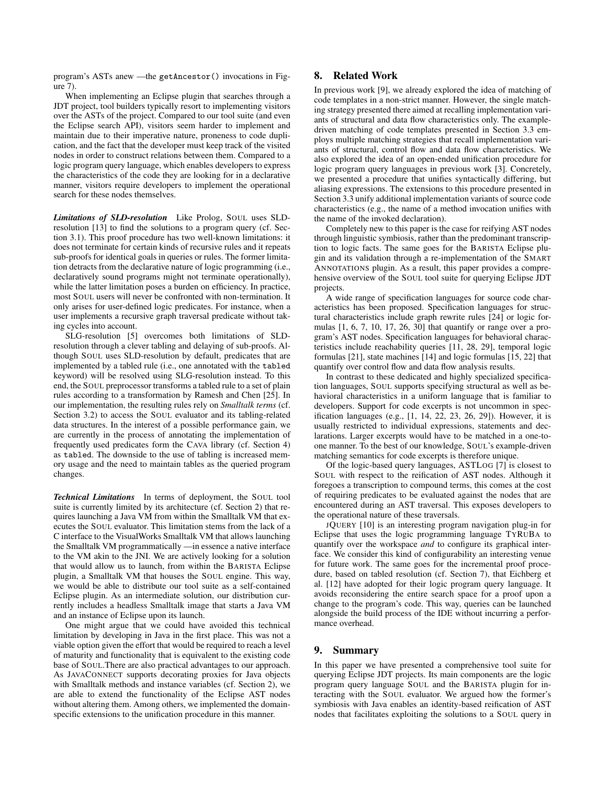program's ASTs anew —the getAncestor() invocations in Figure 7).

When implementing an Eclipse plugin that searches through a JDT project, tool builders typically resort to implementing visitors over the ASTs of the project. Compared to our tool suite (and even the Eclipse search API), visitors seem harder to implement and maintain due to their imperative nature, proneness to code duplication, and the fact that the developer must keep track of the visited nodes in order to construct relations between them. Compared to a logic program query language, which enables developers to express the characteristics of the code they are looking for in a declarative manner, visitors require developers to implement the operational search for these nodes themselves.

*Limitations of SLD-resolution* Like Prolog, SOUL uses SLDresolution [13] to find the solutions to a program query (cf. Section 3.1). This proof procedure has two well-known limitations: it does not terminate for certain kinds of recursive rules and it repeats sub-proofs for identical goals in queries or rules. The former limitation detracts from the declarative nature of logic programming (i.e., declaratively sound programs might not terminate operationally), while the latter limitation poses a burden on efficiency. In practice, most SOUL users will never be confronted with non-termination. It only arises for user-defined logic predicates. For instance, when a user implements a recursive graph traversal predicate without taking cycles into account.

SLG-resolution [5] overcomes both limitations of SLDresolution through a clever tabling and delaying of sub-proofs. Although SOUL uses SLD-resolution by default, predicates that are implemented by a tabled rule (i.e., one annotated with the tabled keyword) will be resolved using SLG-resolution instead. To this end, the SOUL preprocessor transforms a tabled rule to a set of plain rules according to a transformation by Ramesh and Chen [25]. In our implementation, the resulting rules rely on *Smalltalk terms* (cf. Section 3.2) to access the SOUL evaluator and its tabling-related data structures. In the interest of a possible performance gain, we are currently in the process of annotating the implementation of frequently used predicates form the CAVA library (cf. Section 4) as tabled. The downside to the use of tabling is increased memory usage and the need to maintain tables as the queried program changes.

*Technical Limitations* In terms of deployment, the SOUL tool suite is currently limited by its architecture (cf. Section 2) that requires launching a Java VM from within the Smalltalk VM that executes the SOUL evaluator. This limitation stems from the lack of a C interface to the VisualWorks Smalltalk VM that allows launching the Smalltalk VM programmatically —in essence a native interface to the VM akin to the JNI. We are actively looking for a solution that would allow us to launch, from within the BARISTA Eclipse plugin, a Smalltalk VM that houses the SOUL engine. This way, we would be able to distribute our tool suite as a self-contained Eclipse plugin. As an intermediate solution, our distribution currently includes a headless Smalltalk image that starts a Java VM and an instance of Eclipse upon its launch.

One might argue that we could have avoided this technical limitation by developing in Java in the first place. This was not a viable option given the effort that would be required to reach a level of maturity and functionality that is equivalent to the existing code base of SOUL.There are also practical advantages to our approach. As JAVACONNECT supports decorating proxies for Java objects with Smalltalk methods and instance variables (cf. Section 2), we are able to extend the functionality of the Eclipse AST nodes without altering them. Among others, we implemented the domainspecific extensions to the unification procedure in this manner.

# 8. Related Work

In previous work [9], we already explored the idea of matching of code templates in a non-strict manner. However, the single matching strategy presented there aimed at recalling implementation variants of structural and data flow characteristics only. The exampledriven matching of code templates presented in Section 3.3 employs multiple matching strategies that recall implementation variants of structural, control flow and data flow characteristics. We also explored the idea of an open-ended unification procedure for logic program query languages in previous work [3]. Concretely, we presented a procedure that unifies syntactically differing, but aliasing expressions. The extensions to this procedure presented in Section 3.3 unify additional implementation variants of source code characteristics (e.g., the name of a method invocation unifies with the name of the invoked declaration).

Completely new to this paper is the case for reifying AST nodes through linguistic symbiosis, rather than the predominant transcription to logic facts. The same goes for the BARISTA Eclipse plugin and its validation through a re-implementation of the SMART ANNOTATIONS plugin. As a result, this paper provides a comprehensive overview of the SOUL tool suite for querying Eclipse JDT projects.

A wide range of specification languages for source code characteristics has been proposed. Specification languages for structural characteristics include graph rewrite rules [24] or logic formulas  $[1, 6, 7, 10, 17, 26, 30]$  that quantify or range over a program's AST nodes. Specification languages for behavioral characteristics include reachability queries [11, 28, 29], temporal logic formulas [21], state machines [14] and logic formulas [15, 22] that quantify over control flow and data flow analysis results.

In contrast to these dedicated and highly specialized specification languages, SOUL supports specifying structural as well as behavioral characteristics in a uniform language that is familiar to developers. Support for code excerpts is not uncommon in specification languages (e.g., [1, 14, 22, 23, 26, 29]). However, it is usually restricted to individual expressions, statements and declarations. Larger excerpts would have to be matched in a one-toone manner. To the best of our knowledge, SOUL's example-driven matching semantics for code excerpts is therefore unique.

Of the logic-based query languages, ASTLOG [7] is closest to SOUL with respect to the reification of AST nodes. Although it foregoes a transcription to compound terms, this comes at the cost of requiring predicates to be evaluated against the nodes that are encountered during an AST traversal. This exposes developers to the operational nature of these traversals.

JQUERY [10] is an interesting program navigation plug-in for Eclipse that uses the logic programming language TYRUBA to quantify over the workspace *and* to configure its graphical interface. We consider this kind of configurability an interesting venue for future work. The same goes for the incremental proof procedure, based on tabled resolution (cf. Section 7), that Eichberg et al. [12] have adopted for their logic program query language. It avoids reconsidering the entire search space for a proof upon a change to the program's code. This way, queries can be launched alongside the build process of the IDE without incurring a performance overhead.

## 9. Summary

In this paper we have presented a comprehensive tool suite for querying Eclipse JDT projects. Its main components are the logic program query language SOUL and the BARISTA plugin for interacting with the SOUL evaluator. We argued how the former's symbiosis with Java enables an identity-based reification of AST nodes that facilitates exploiting the solutions to a SOUL query in